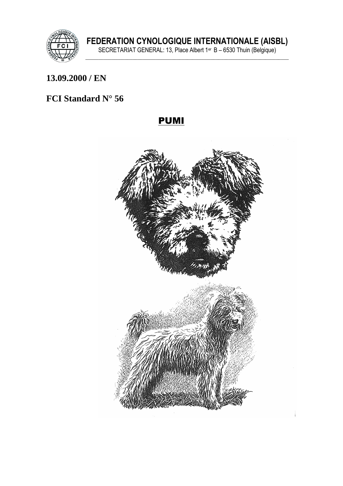

### 13.09.2000 / EN

# FCI Standard N° 56

# **PUMI**

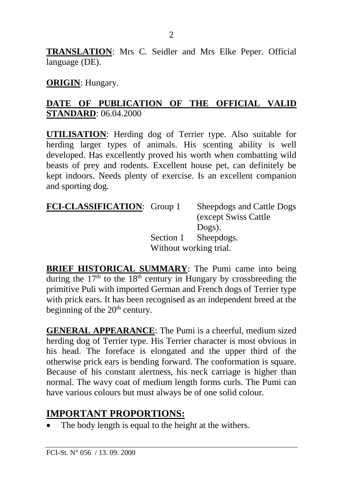**TRANSLATION**: Mrs C. Seidler and Mrs Elke Peper. Official language (DE).

#### **ORIGIN**: Hungary.

#### **DATE OF PUBLICATION OF THE OFFICIAL VALID STANDARD**: 06.04.2000

**UTILISATION**: Herding dog of Terrier type. Also suitable for herding larger types of animals. His scenting ability is well developed. Has excellently proved his worth when combatting wild beasts of prey and rodents. Excellent house pet, can definitely be kept indoors. Needs plenty of exercise. Is an excellent companion and sporting dog.

**FCI-CLASSIFICATION**: Group 1 Sheepdogs and Cattle Dogs (except Swiss Cattle Dogs). Section 1 Sheepdogs. Without working trial.

**BRIEF HISTORICAL SUMMARY**: The Pumi came into being during the  $17<sup>th</sup>$  to the  $18<sup>th</sup>$  century in Hungary by crossbreeding the primitive Puli with imported German and French dogs of Terrier type with prick ears. It has been recognised as an independent breed at the beginning of the  $20<sup>th</sup>$  century.

**GENERAL APPEARANCE**: The Pumi is a cheerful, medium sized herding dog of Terrier type. His Terrier character is most obvious in his head. The foreface is elongated and the upper third of the otherwise prick ears is bending forward. The conformation is square. Because of his constant alertness, his neck carriage is higher than normal. The wavy coat of medium length forms curls. The Pumi can have various colours but must always be of one solid colour.

# **IMPORTANT PROPORTIONS:**

The body length is equal to the height at the withers.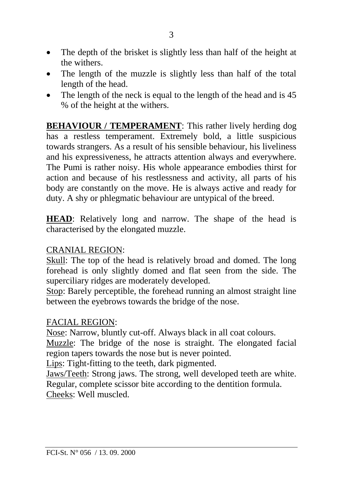- The depth of the brisket is slightly less than half of the height at the withers.
- The length of the muzzle is slightly less than half of the total length of the head.
- The length of the neck is equal to the length of the head and is 45 % of the height at the withers.

**BEHAVIOUR / TEMPERAMENT:** This rather lively herding dog has a restless temperament. Extremely bold, a little suspicious towards strangers. As a result of his sensible behaviour, his liveliness and his expressiveness, he attracts attention always and everywhere. The Pumi is rather noisy. His whole appearance embodies thirst for action and because of his restlessness and activity, all parts of his body are constantly on the move. He is always active and ready for duty. A shy or phlegmatic behaviour are untypical of the breed.

**HEAD**: Relatively long and narrow. The shape of the head is characterised by the elongated muzzle.

### CRANIAL REGION:

Skull: The top of the head is relatively broad and domed. The long forehead is only slightly domed and flat seen from the side. The superciliary ridges are moderately developed.

Stop: Barely perceptible, the forehead running an almost straight line between the eyebrows towards the bridge of the nose.

#### FACIAL REGION:

Nose: Narrow, bluntly cut-off. Always black in all coat colours.

Muzzle: The bridge of the nose is straight. The elongated facial region tapers towards the nose but is never pointed.

Lips: Tight-fitting to the teeth, dark pigmented.

Jaws/Teeth: Strong jaws. The strong, well developed teeth are white. Regular, complete scissor bite according to the dentition formula. Cheeks: Well muscled.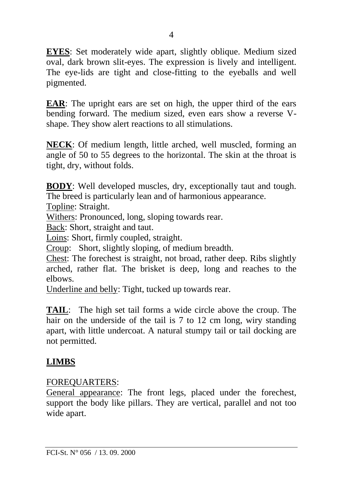**EYES**: Set moderately wide apart, slightly oblique. Medium sized oval, dark brown slit-eyes. The expression is lively and intelligent*.* The eye-lids are tight and close-fitting to the eyeballs and well pigmented.

**EAR**: The upright ears are set on high, the upper third of the ears bending forward. The medium sized, even ears show a reverse Vshape. They show alert reactions to all stimulations.

**NECK**: Of medium length, little arched, well muscled, forming an angle of 50 to 55 degrees to the horizontal. The skin at the throat is tight, dry, without folds.

**BODY**: Well developed muscles, dry, exceptionally taut and tough. The breed is particularly lean and of harmonious appearance.

Topline: Straight.

Withers: Pronounced, long, sloping towards rear.

Back: Short, straight and taut.

Loins: Short, firmly coupled, straight.

Croup: Short, slightly sloping, of medium breadth.

Chest: The forechest is straight, not broad, rather deep. Ribs slightly arched, rather flat. The brisket is deep, long and reaches to the elbows.

Underline and belly: Tight, tucked up towards rear.

**TAIL**: The high set tail forms a wide circle above the croup. The hair on the underside of the tail is 7 to 12 cm long, wiry standing apart, with little undercoat. A natural stumpy tail or tail docking are not permitted.

# **LIMBS**

### FOREQUARTERS:

General appearance: The front legs, placed under the forechest, support the body like pillars. They are vertical, parallel and not too wide apart.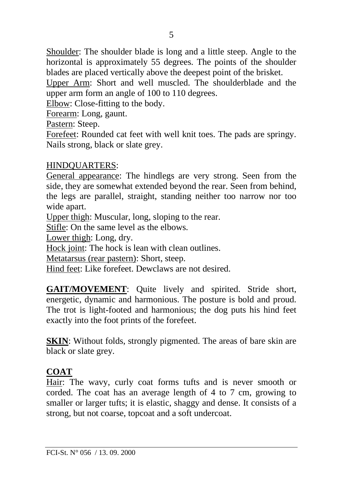Shoulder: The shoulder blade is long and a little steep. Angle to the horizontal is approximately 55 degrees. The points of the shoulder blades are placed vertically above the deepest point of the brisket.

Upper Arm: Short and well muscled. The shoulderblade and the upper arm form an angle of 100 to 110 degrees.

Elbow: Close-fitting to the body.

Forearm: Long, gaunt.

Pastern: Steep.

Forefeet: Rounded cat feet with well knit toes. The pads are springy. Nails strong, black or slate grey.

#### HINDQUARTERS:

General appearance: The hindlegs are very strong. Seen from the side, they are somewhat extended beyond the rear. Seen from behind, the legs are parallel, straight, standing neither too narrow nor too wide apart.

Upper thigh: Muscular, long, sloping to the rear.

Stifle: On the same level as the elbows.

Lower thigh: Long, dry.

Hock joint: The hock is lean with clean outlines.

Metatarsus (rear pastern): Short, steep.

Hind feet: Like forefeet. Dewclaws are not desired.

**GAIT/MOVEMENT**: Quite lively and spirited. Stride short, energetic, dynamic and harmonious. The posture is bold and proud. The trot is light-footed and harmonious; the dog puts his hind feet exactly into the foot prints of the forefeet.

**SKIN:** Without folds, strongly pigmented. The areas of bare skin are black or slate grey.

# **COAT**

Hair: The wavy, curly coat forms tufts and is never smooth or corded. The coat has an average length of 4 to 7 cm, growing to smaller or larger tufts; it is elastic, shaggy and dense. It consists of a strong, but not coarse, topcoat and a soft undercoat.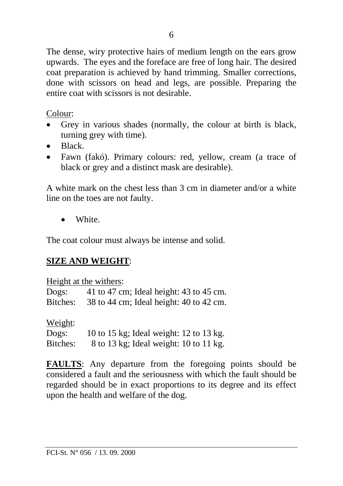The dense, wiry protective hairs of medium length on the ears grow upwards. The eyes and the foreface are free of long hair. The desired coat preparation is achieved by hand trimming. Smaller corrections, done with scissors on head and legs, are possible. Preparing the entire coat with scissors is not desirable.

Colour:

- Grey in various shades (normally, the colour at birth is black, turning grey with time).
- Black.
- Fawn (fakó). Primary colours: red, yellow, cream (a trace of black or grey and a distinct mask are desirable).

A white mark on the chest less than 3 cm in diameter and/or a white line on the toes are not faulty.

• White.

The coat colour must always be intense and solid.

# **SIZE AND WEIGHT**:

Height at the withers:

Dogs: 41 to 47 cm; Ideal height: 43 to 45 cm. Bitches: 38 to 44 cm; Ideal height: 40 to 42 cm.

Weight:

| Dogs:    | 10 to 15 kg; Ideal weight: 12 to 13 kg. |
|----------|-----------------------------------------|
| Bitches: | 8 to 13 kg; Ideal weight: 10 to 11 kg.  |

**FAULTS**: Any departure from the foregoing points should be considered a fault and the seriousness with which the fault should be regarded should be in exact proportions to its degree and its effect upon the health and welfare of the dog.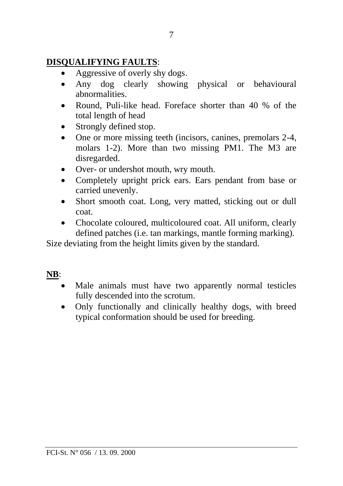### **DISQUALIFYING FAULTS**:

- Aggressive of overly shy dogs.
- Any dog clearly showing physical or behavioural abnormalities.
- Round, Puli-like head. Foreface shorter than 40 % of the total length of head
- Strongly defined stop.
- One or more missing teeth (incisors, canines, premolars 2-4, molars 1-2). More than two missing PM1. The M3 are disregarded.
- Over- or undershot mouth, wry mouth.
- Completely upright prick ears. Ears pendant from base or carried unevenly.
- Short smooth coat. Long, very matted, sticking out or dull coat.
- Chocolate coloured, multicoloured coat. All uniform, clearly defined patches (i.e. tan markings, mantle forming marking).

Size deviating from the height limits given by the standard.

# **NB**:

- Male animals must have two apparently normal testicles fully descended into the scrotum.
- Only functionally and clinically healthy dogs, with breed typical conformation should be used for breeding.